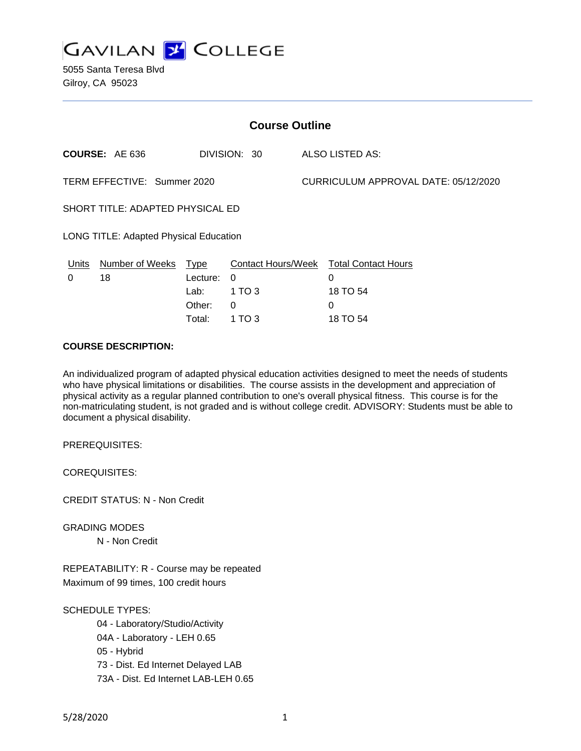

| <b>Course Outline</b>                  |                            |          |              |  |                                             |  |
|----------------------------------------|----------------------------|----------|--------------|--|---------------------------------------------|--|
|                                        | <b>COURSE: AE 636</b>      |          | DIVISION: 30 |  | ALSO LISTED AS:                             |  |
| TERM EFFECTIVE: Summer 2020            |                            |          |              |  | CURRICULUM APPROVAL DATE: 05/12/2020        |  |
| SHORT TITLE: ADAPTED PHYSICAL ED       |                            |          |              |  |                                             |  |
| LONG TITLE: Adapted Physical Education |                            |          |              |  |                                             |  |
| Units<br>0                             | Number of Weeks Type<br>18 | Lecture: | $\Omega$     |  | Contact Hours/Week Total Contact Hours<br>0 |  |
|                                        |                            | Lab:     | 1 TO 3       |  | 18 TO 54                                    |  |
|                                        |                            | Other:   | 0            |  | 0                                           |  |

Total: 1 TO 3 18 TO 54

## **COURSE DESCRIPTION:**

An individualized program of adapted physical education activities designed to meet the needs of students who have physical limitations or disabilities. The course assists in the development and appreciation of physical activity as a regular planned contribution to one's overall physical fitness. This course is for the non-matriculating student, is not graded and is without college credit. ADVISORY: Students must be able to document a physical disability.

PREREQUISITES:

COREQUISITES:

CREDIT STATUS: N - Non Credit

GRADING MODES

N - Non Credit

REPEATABILITY: R - Course may be repeated Maximum of 99 times, 100 credit hours

SCHEDULE TYPES:

04 - Laboratory/Studio/Activity 04A - Laboratory - LEH 0.65 05 - Hybrid 73 - Dist. Ed Internet Delayed LAB 73A - Dist. Ed Internet LAB-LEH 0.65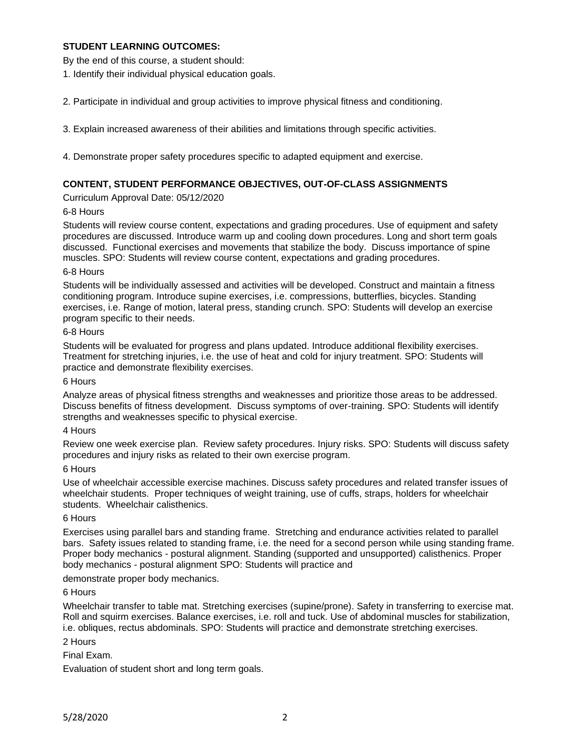## **STUDENT LEARNING OUTCOMES:**

By the end of this course, a student should:

1. Identify their individual physical education goals.

2. Participate in individual and group activities to improve physical fitness and conditioning.

3. Explain increased awareness of their abilities and limitations through specific activities.

4. Demonstrate proper safety procedures specific to adapted equipment and exercise.

## **CONTENT, STUDENT PERFORMANCE OBJECTIVES, OUT-OF-CLASS ASSIGNMENTS**

Curriculum Approval Date: 05/12/2020

### 6-8 Hours

Students will review course content, expectations and grading procedures. Use of equipment and safety procedures are discussed. Introduce warm up and cooling down procedures. Long and short term goals discussed. Functional exercises and movements that stabilize the body. Discuss importance of spine muscles. SPO: Students will review course content, expectations and grading procedures.

### 6-8 Hours

Students will be individually assessed and activities will be developed. Construct and maintain a fitness conditioning program. Introduce supine exercises, i.e. compressions, butterflies, bicycles. Standing exercises, i.e. Range of motion, lateral press, standing crunch. SPO: Students will develop an exercise program specific to their needs.

#### 6-8 Hours

Students will be evaluated for progress and plans updated. Introduce additional flexibility exercises. Treatment for stretching injuries, i.e. the use of heat and cold for injury treatment. SPO: Students will practice and demonstrate flexibility exercises.

### 6 Hours

Analyze areas of physical fitness strengths and weaknesses and prioritize those areas to be addressed. Discuss benefits of fitness development. Discuss symptoms of over-training. SPO: Students will identify strengths and weaknesses specific to physical exercise.

### 4 Hours

Review one week exercise plan. Review safety procedures. Injury risks. SPO: Students will discuss safety procedures and injury risks as related to their own exercise program.

### 6 Hours

Use of wheelchair accessible exercise machines. Discuss safety procedures and related transfer issues of wheelchair students. Proper techniques of weight training, use of cuffs, straps, holders for wheelchair students. Wheelchair calisthenics.

### 6 Hours

Exercises using parallel bars and standing frame. Stretching and endurance activities related to parallel bars. Safety issues related to standing frame, i.e. the need for a second person while using standing frame. Proper body mechanics - postural alignment. Standing (supported and unsupported) calisthenics. Proper body mechanics - postural alignment SPO: Students will practice and

demonstrate proper body mechanics.

### 6 Hours

Wheelchair transfer to table mat. Stretching exercises (supine/prone). Safety in transferring to exercise mat. Roll and squirm exercises. Balance exercises, i.e. roll and tuck. Use of abdominal muscles for stabilization, i.e. obliques, rectus abdominals. SPO: Students will practice and demonstrate stretching exercises.

### 2 Hours

Final Exam.

Evaluation of student short and long term goals.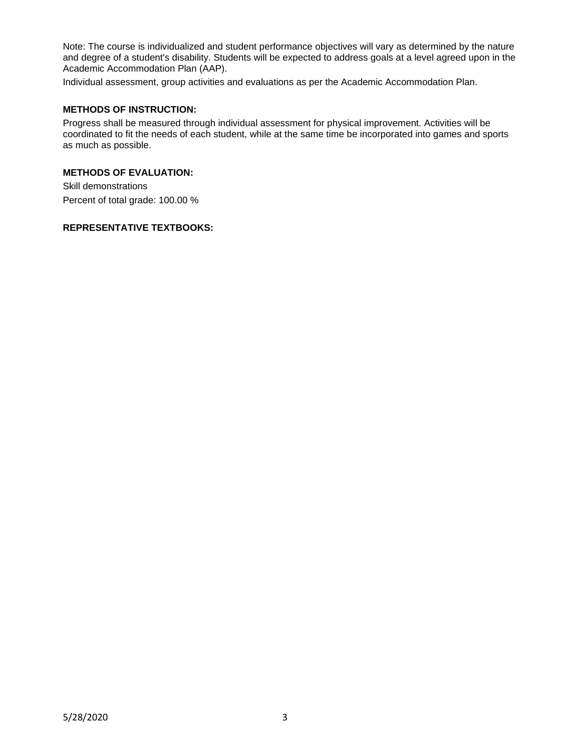Note: The course is individualized and student performance objectives will vary as determined by the nature and degree of a student's disability. Students will be expected to address goals at a level agreed upon in the Academic Accommodation Plan (AAP).

Individual assessment, group activities and evaluations as per the Academic Accommodation Plan.

# **METHODS OF INSTRUCTION:**

Progress shall be measured through individual assessment for physical improvement. Activities will be coordinated to fit the needs of each student, while at the same time be incorporated into games and sports as much as possible.

# **METHODS OF EVALUATION:**

Skill demonstrations Percent of total grade: 100.00 %

## **REPRESENTATIVE TEXTBOOKS:**